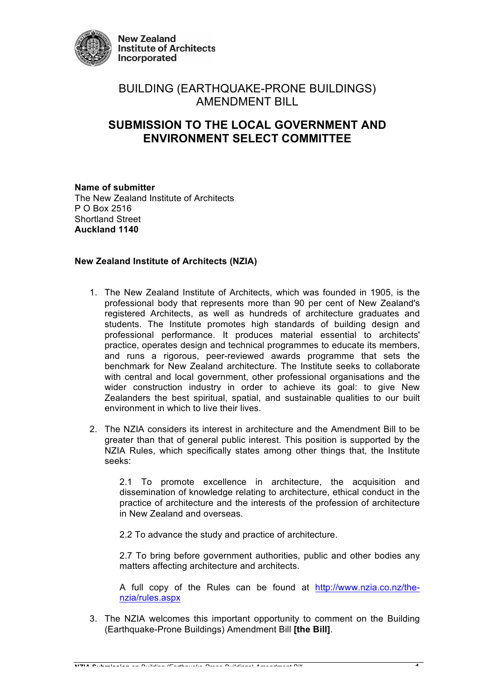

# BUILDING (EARTHQUAKE-PRONE BUILDINGS) AMENDMENT BILL

# **SUBMISSION TO THE LOCAL GOVERNMENT AND ENVIRONMENT SELECT COMMITTEE**

**Name of submitter** The New Zealand Institute of Architects P O Box 2516 Shortland Street **Auckland 1140**

# **New Zealand Institute of Architects (NZIA)**

- 1. The New Zealand Institute of Architects, which was founded in 1905, is the professional body that represents more than 90 per cent of New Zealand's registered Architects, as well as hundreds of architecture graduates and students. The Institute promotes high standards of building design and professional performance. It produces material essential to architects' practice, operates design and technical programmes to educate its members, and runs a rigorous, peer-reviewed awards programme that sets the benchmark for New Zealand architecture. The Institute seeks to collaborate with central and local government, other professional organisations and the wider construction industry in order to achieve its goal: to give New Zealanders the best spiritual, spatial, and sustainable qualities to our built environment in which to Iive their lives.
- 2. The NZIA considers its interest in architecture and the Amendment Bill to be greater than that of general public interest. This position is supported by the NZIA Rules, which specifically states among other things that, the Institute seeks:

2.1 To promote excellence in architecture, the acquisition and dissemination of knowledge relating to architecture, ethical conduct in the practice of architecture and the interests of the profession of architecture in New Zealand and overseas.

2.2 To advance the study and practice of architecture.

2.7 To bring before government authorities, public and other bodies any matters affecting architecture and architects.

A full copy of the Rules can be found at http://www.nzia.co.nz/thenzia/rules.aspx

3. The NZIA welcomes this important opportunity to comment on the Building (Earthquake-Prone Buildings) Amendment Bill **[the Bill]**.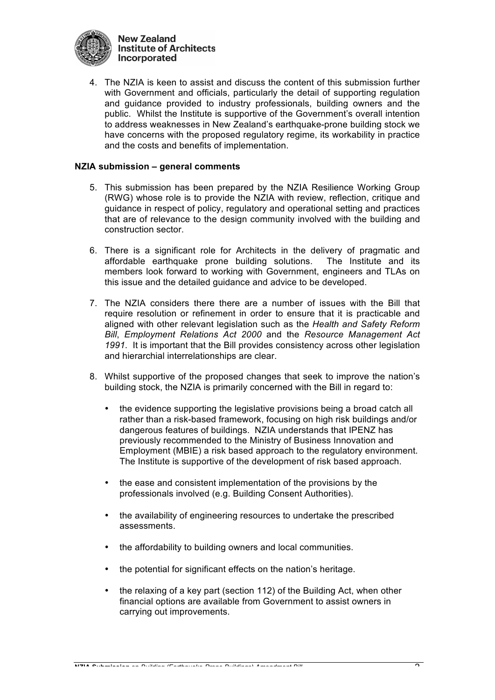

4. The NZIA is keen to assist and discuss the content of this submission further with Government and officials, particularly the detail of supporting regulation and guidance provided to industry professionals, building owners and the public. Whilst the Institute is supportive of the Government's overall intention to address weaknesses in New Zealand's earthquake-prone building stock we have concerns with the proposed regulatory regime, its workability in practice and the costs and benefits of implementation.

## **NZIA submission – general comments**

- 5. This submission has been prepared by the NZIA Resilience Working Group (RWG) whose role is to provide the NZIA with review, reflection, critique and guidance in respect of policy, regulatory and operational setting and practices that are of relevance to the design community involved with the building and construction sector.
- 6. There is a significant role for Architects in the delivery of pragmatic and affordable earthquake prone building solutions. The Institute and its members look forward to working with Government, engineers and TLAs on this issue and the detailed guidance and advice to be developed.
- 7. The NZIA considers there there are a number of issues with the Bill that require resolution or refinement in order to ensure that it is practicable and aligned with other relevant legislation such as the *Health and Safety Reform Bill*, *Employment Relations Act 2000* and the *Resource Management Act 1991*. It is important that the Bill provides consistency across other legislation and hierarchial interrelationships are clear.
- 8. Whilst supportive of the proposed changes that seek to improve the nation's building stock, the NZIA is primarily concerned with the Bill in regard to:
	- the evidence supporting the legislative provisions being a broad catch all rather than a risk-based framework, focusing on high risk buildings and/or dangerous features of buildings. NZIA understands that IPENZ has previously recommended to the Ministry of Business Innovation and Employment (MBIE) a risk based approach to the regulatory environment. The Institute is supportive of the development of risk based approach.
	- the ease and consistent implementation of the provisions by the professionals involved (e.g. Building Consent Authorities).
	- the availability of engineering resources to undertake the prescribed assessments.
	- the affordability to building owners and local communities.
	- the potential for significant effects on the nation's heritage.
	- the relaxing of a key part (section 112) of the Building Act, when other financial options are available from Government to assist owners in carrying out improvements.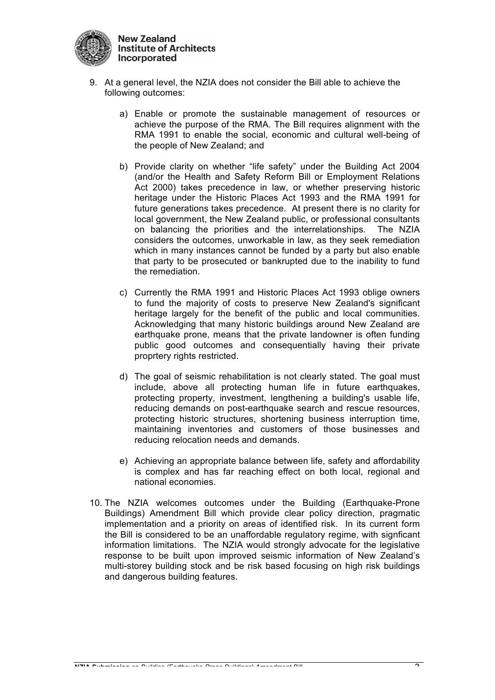

- 9. At a general level, the NZIA does not consider the Bill able to achieve the following outcomes:
	- a) Enable or promote the sustainable management of resources or achieve the purpose of the RMA. The Bill requires alignment with the RMA 1991 to enable the social, economic and cultural well-being of the people of New Zealand; and
	- b) Provide clarity on whether "life safety" under the Building Act 2004 (and/or the Health and Safety Reform Bill or Employment Relations Act 2000) takes precedence in law, or whether preserving historic heritage under the Historic Places Act 1993 and the RMA 1991 for future generations takes precedence. At present there is no clarity for local government, the New Zealand public, or professional consultants on balancing the priorities and the interrelationships. The NZIA considers the outcomes, unworkable in law, as they seek remediation which in many instances cannot be funded by a party but also enable that party to be prosecuted or bankrupted due to the inability to fund the remediation.
	- c) Currently the RMA 1991 and Historic Places Act 1993 oblige owners to fund the majority of costs to preserve New Zealand's significant heritage largely for the benefit of the public and local communities. Acknowledging that many historic buildings around New Zealand are earthquake prone, means that the private landowner is often funding public good outcomes and consequentially having their private proprtery rights restricted.
	- d) The goal of seismic rehabilitation is not clearly stated. The goal must include, above all protecting human life in future earthquakes, protecting property, investment, lengthening a building's usable life, reducing demands on post-earthquake search and rescue resources, protecting historic structures, shortening business interruption time, maintaining inventories and customers of those businesses and reducing relocation needs and demands.
	- e) Achieving an appropriate balance between life, safety and affordability is complex and has far reaching effect on both local, regional and national economies.
- 10. The NZIA welcomes outcomes under the Building (Earthquake-Prone Buildings) Amendment Bill which provide clear policy direction, pragmatic implementation and a priority on areas of identified risk. In its current form the Bill is considered to be an unaffordable regulatory regime, with signficant information limitations. The NZIA would strongly advocate for the legislative response to be built upon improved seismic information of New Zealand's multi-storey building stock and be risk based focusing on high risk buildings and dangerous building features.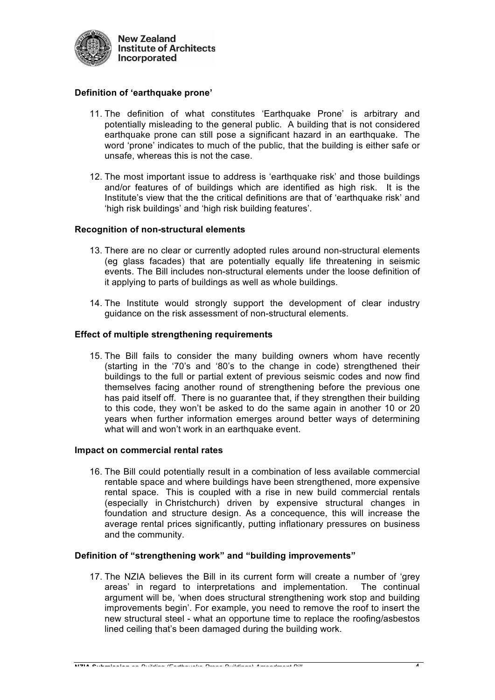

## **Definition of 'earthquake prone'**

- 11. The definition of what constitutes 'Earthquake Prone' is arbitrary and potentially misleading to the general public. A building that is not considered earthquake prone can still pose a significant hazard in an earthquake. The word 'prone' indicates to much of the public, that the building is either safe or unsafe, whereas this is not the case.
- 12. The most important issue to address is 'earthquake risk' and those buildings and/or features of of buildings which are identified as high risk. It is the Institute's view that the the critical definitions are that of 'earthquake risk' and 'high risk buildings' and 'high risk building features'.

## **Recognition of non-structural elements**

- 13. There are no clear or currently adopted rules around non-structural elements (eg glass facades) that are potentially equally life threatening in seismic events. The Bill includes non-structural elements under the loose definition of it applying to parts of buildings as well as whole buildings.
- 14. The Institute would strongly support the development of clear industry guidance on the risk assessment of non-structural elements.

### **Effect of multiple strengthening requirements**

15. The Bill fails to consider the many building owners whom have recently (starting in the '70's and '80's to the change in code) strengthened their buildings to the full or partial extent of previous seismic codes and now find themselves facing another round of strengthening before the previous one has paid itself off. There is no guarantee that, if they strengthen their building to this code, they won't be asked to do the same again in another 10 or 20 years when further information emerges around better ways of determining what will and won't work in an earthquake event.

#### **Impact on commercial rental rates**

16. The Bill could potentially result in a combination of less available commercial rentable space and where buildings have been strengthened, more expensive rental space. This is coupled with a rise in new build commercial rentals (especially in Christchurch) driven by expensive structural changes in foundation and structure design. As a concequence, this will increase the average rental prices significantly, putting inflationary pressures on business and the community.

#### **Definition of "strengthening work" and "building improvements"**

17. The NZIA believes the Bill in its current form will create a number of 'grey areas' in regard to interpretations and implementation. The continual argument will be, 'when does structural strengthening work stop and building improvements begin'. For example, you need to remove the roof to insert the new structural steel - what an opportune time to replace the roofing/asbestos lined ceiling that's been damaged during the building work.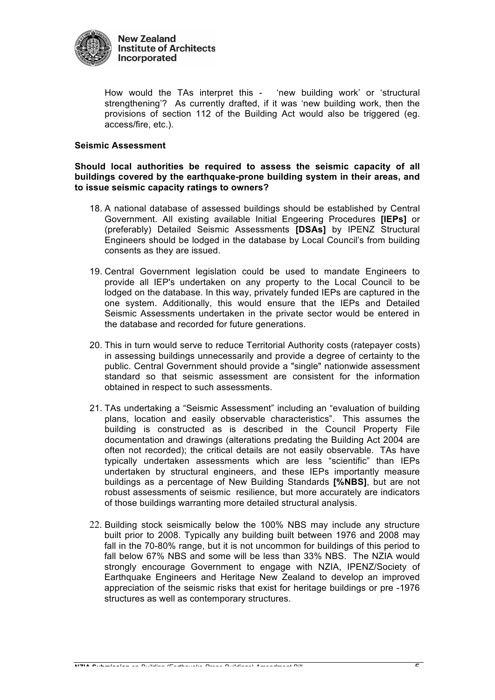

How would the TAs interpret this - 'new building work' or 'structural strengthening'? As currently drafted, if it was 'new building work, then the provisions of section 112 of the Building Act would also be triggered (eg. access/fire, etc.).

## **Seismic Assessment**

**Should local authorities be required to assess the seismic capacity of all buildings covered by the earthquake-prone building system in their areas, and to issue seismic capacity ratings to owners?** 

- 18. A national database of assessed buildings should be established by Central Government. All existing available Initial Engeering Procedures **[IEPs]** or (preferably) Detailed Seismic Assessments **[DSAs]** by IPENZ Structural Engineers should be lodged in the database by Local Council's from building consents as they are issued.
- 19. Central Government legislation could be used to mandate Engineers to provide all IEP's undertaken on any property to the Local Council to be lodged on the database. In this way, privately funded IEPs are captured in the one system. Additionally, this would ensure that the IEPs and Detailed Seismic Assessments undertaken in the private sector would be entered in the database and recorded for future generations.
- 20. This in turn would serve to reduce Territorial Authority costs (ratepayer costs) in assessing buildings unnecessarily and provide a degree of certainty to the public. Central Government should provide a "single" nationwide assessment standard so that seismic assessment are consistent for the information obtained in respect to such assessments.
- 21. TAs undertaking a "Seismic Assessment" including an "evaluation of building plans, location and easily observable characteristics". This assumes the building is constructed as is described in the Council Property File documentation and drawings (alterations predating the Building Act 2004 are often not recorded); the critical details are not easily observable. TAs have typically undertaken assessments which are less "scientific" than IEPs undertaken by structural engineers, and these IEPs importantly measure buildings as a percentage of New Building Standards **[%NBS]**, but are not robust assessments of seismic resilience, but more accurately are indicators of those buildings warranting more detailed structural analysis.
- 22. Building stock seismically below the 100% NBS may include any structure built prior to 2008. Typically any building built between 1976 and 2008 may fall in the 70-80% range, but it is not uncommon for buildings of this period to fall below 67% NBS and some will be less than 33% NBS. The NZIA would strongly encourage Government to engage with NZIA, IPENZ/Society of Earthquake Engineers and Heritage New Zealand to develop an improved appreciation of the seismic risks that exist for heritage buildings or pre -1976 structures as well as contemporary structures.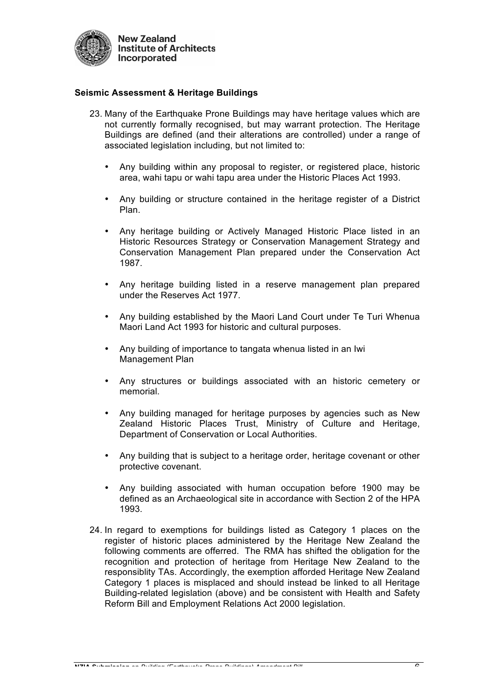

## **Seismic Assessment & Heritage Buildings**

- 23. Many of the Earthquake Prone Buildings may have heritage values which are not currently formally recognised, but may warrant protection. The Heritage Buildings are defined (and their alterations are controlled) under a range of associated legislation including, but not limited to:
	- Any building within any proposal to register, or registered place, historic area, wahi tapu or wahi tapu area under the Historic Places Act 1993.
	- Any building or structure contained in the heritage register of a District Plan.
	- Any heritage building or Actively Managed Historic Place listed in an Historic Resources Strategy or Conservation Management Strategy and Conservation Management Plan prepared under the Conservation Act 1987.
	- Any heritage building listed in a reserve management plan prepared under the Reserves Act 1977.
	- Any building established by the Maori Land Court under Te Turi Whenua Maori Land Act 1993 for historic and cultural purposes.
	- Any building of importance to tangata whenua listed in an Iwi Management Plan
	- Any structures or buildings associated with an historic cemetery or memorial.
	- Any building managed for heritage purposes by agencies such as New Zealand Historic Places Trust, Ministry of Culture and Heritage, Department of Conservation or Local Authorities.
	- Any building that is subject to a heritage order, heritage covenant or other protective covenant.
	- Any building associated with human occupation before 1900 may be defined as an Archaeological site in accordance with Section 2 of the HPA 1993.
- 24. In regard to exemptions for buildings listed as Category 1 places on the register of historic places administered by the Heritage New Zealand the following comments are offerred. The RMA has shifted the obligation for the recognition and protection of heritage from Heritage New Zealand to the responsiblity TAs. Accordingly, the exemption afforded Heritage New Zealand Category 1 places is misplaced and should instead be linked to all Heritage Building-related legislation (above) and be consistent with Health and Safety Reform Bill and Employment Relations Act 2000 legislation.